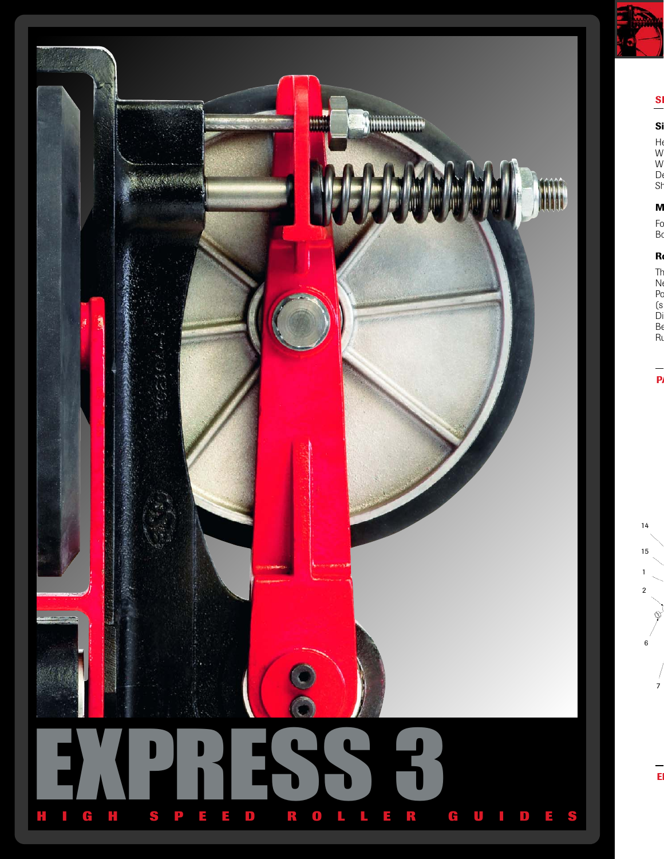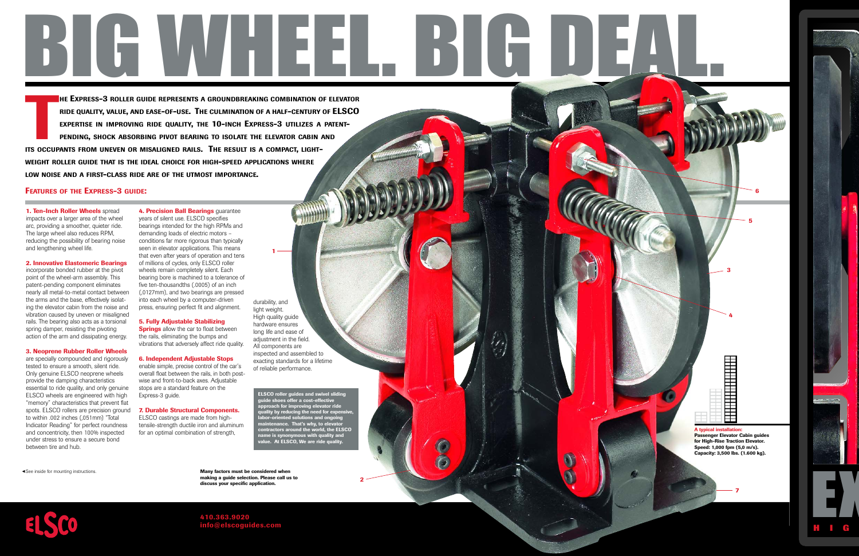# BIG WHEEL. BIG DEAL.

**THE**<br>THE RIC<br>PEI **EXPRESS-3 ROLLER GUIDE REPRESENTS A GROUNDBREAKING COMBINATION OF ELEVATOR RIDE QUALITY, VALUE, AND EASE-OF-USE. THE CULMINATION OF <sup>A</sup> HALF-CENTURY OF ELSCO EXPERTISE IN IMPROVING RIDE QUALITY, THE 10-INCH EXPRESS-3 UTILIZES A PATENT-PENDING, SHOCK ABSORBING PIVOT BEARING TO ISOLATE THE ELEVATOR CABIN AND** ITS OCCUPANTS FROM UNEVEN OR MISALIGNED RAILS. THE RESULT IS A COMPACT, LIGHT-WEIGHT ROLLER GUIDE THAT IS THE IDEAL CHOICE FOR HIGH-SPEED APPLICATIONS WHERE **LOW NOISE AND A FIRST-CLASS RIDE ARE OF THE UTMOST IMPORTANCE.**

# **FEATURES OF THE EXPRESS-3 GUIDE:**

**1. Ten-Inch Roller Wheels** spread impacts over a larger area of the wheel arc, providing a smoother, quieter ride. The large wheel also reduces RPM, reducing the possibility of bearing noise and lengthening wheel life.

### **2. Innovative Elastomeric Bearings**

incorporate bonded rubber at the pivot point of the wheel-arm assembly. This patent-pending component eliminates nearly all metal-to-metal contact between the arms and the base, effectively isolating the elevator cabin from the noise and vibration caused by uneven or misaligned rails. The bearing also acts as a torsional spring damper, resisting the pivoting action of the arm and dissipating energy.

### **3. Neoprene Rubber Roller Wheels**

are specially compounded and rigorously tested to ensure a smooth, silent ride. Only genuine ELSCO neoprene wheels provide the damping characteristics essential to ride quality, and only genuine ELSCO wheels are engineered with high "memory" characteristics that prevent flat spots. ELSCO rollers are precision ground to within .002 inches (,051mm) "Total Indicator Reading" for perfect roundness and concentricity, then 100% inspected under stress to ensure a secure bond between tire and hub.

**4. Precision Ball Bearings** guarantee years of silent use. ELSCO specifies bearings intended for the high RPMs and demanding loads of electric motors – conditions far more rigorous than typically seen in elevator applications. This means that even after years of operation and tens of millions of cycles, only ELSCO roller wheels remain completely silent. Each bearing bore is machined to a tolerance of five ten-thousandths (.0005) of an inch (,0127mm), and two bearings are pressed into each wheel by a computer-driven press, ensuring perfect fit and alignment.

# **5. Fully Adjustable Stabilizing**

**Springs** allow the car to float between the rails, eliminating the bumps and vibrations that adversely affect ride quality.

**6. Independent Adjustable Stops** enable simple, precise control of the car's overall float between the rails, in both postwise and front-to-back axes. Adjustable stops are a standard feature on the Express-3 guide.

# **7. Durable Structural Components.**

ELSCO castings are made from hightensile-strength ductile iron and aluminum for an optimal combination of strength,

> **Many factors must be considered when making a guide selection. Please call us to discuss your specific application.**



**1**

**ELSCO roller guides and swivel sliding guide shoes offer a cost-effective approach for improving elevator ride quality by reducing the need for expensive, labor-oriented solutions and ongoing med solutionally, to elevate**<br> **matrix** why, to elevate **contractors around the world, the ELSCO name is synonymous with quality and value. At ELSCO, We are ride quality.**

**2**

■■■■■■■■■■■■■■■■■■■■ ■■■■■■■■■■■■■■■■■■■■ ■■■■■■■■■■ ■■■■■■■■■■ ■■■ ■■■ **A typical install Passenger Elevator Cabin guides for High-Rise Traction Elevator. Speed: 1,000 fpm (5,0 m/s). Capacity: 3,500 lbs. (1.600 kg).**

**7**

**3**

**5**

**6**

**4**

-See inside for mounting instructions.



**410.363.9020 info@elscoguides.com**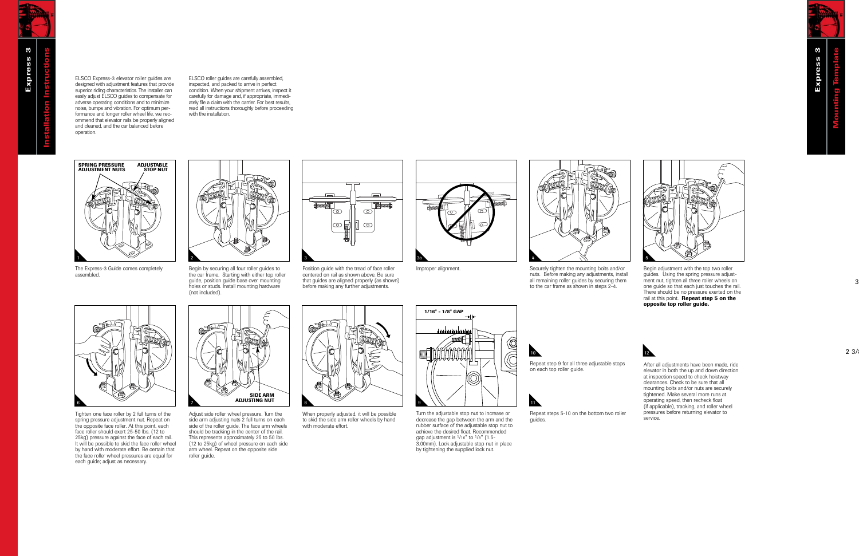ELSCO Express-3 elevator roller guides are designed with adjustment features that provide superior riding characteristics. The installer can easily adjust ELSCO guides to compensate for adverse operating conditions and to minimize noise, bumps and vibration. For optimum performance and longer roller wheel life, we recommend that elevator rails be properly aligned and cleaned, and the car balanced before operation.

ELSCO roller guides are carefully assembled, inspected, and packed to arrive in perfect condition. When your shipment arrives, inspect it carefully for damage and, if appropriate, immediately file a claim with the carrier. For best results, read all instructions thoroughly before proceeding with the installation



The Express-3 Guide comes completely assembled.



Begin by securing all four roller guides to the car frame. Starting with either top roller guide, position guide base over mounting holes or studs. Install mounting hardware (not included).



Position guide with the tread of face roller centered on rail as shown above. Be sure that guides are aligned properly (as shown) before making any further adjustments.





Improper alignment. Securely tighten the mounting bolts and/or nuts. Before making any adjustments, install all remaining roller guides by securing them to the car frame as shown in steps 2-4.



Begin adjustment with the top two roller guides. Using the spring pressure adjustment nut, tighten all three roller wheels on one guide so that each just touches the rail. There should be no pressure exerted on the rail at this point. **Repeat step 5 on the opposite top roller guide.**



Tighten one face roller by 2 full turns of the spring pressure adjustment nut. Repeat on the opposite face roller. At this point, each face roller should exert 25-50 lbs. (12 to 25kg) pressure against the face of each rail. It will be possible to skid the face roller wheel by hand with moderate effort. Be certain that the face roller wheel pressures are equal for each guide; adjust as necessary.



Adjust side roller wheel pressure. Turn the side arm adjusting nuts 2 full turns on each side of the roller guide. The face arm wheels should be tracking in the center of the rail. This represents approximately 25 to 50 lbs. (12 to 25kg) of wheel pressure on each side arm wheel. Repeat on the opposite side roller guide.



When properly adjusted, it will be possible to skid the side arm roller wheels by hand with moderate effort.



Turn the adjustable stop nut to increase or decrease the gap between the arm and the rubber surface of the adjustable stop nut to achieve the desired float. Recommended gap adjustment is  $\frac{1}{16}$ " to  $\frac{1}{8}$ " (1.5-3.00mm). Lock adjustable stop nut in place by tightening the supplied lock nut.



Repeat step 9 for all three adjustable stops

Repeat steps 5-10 on the bottom two roller service.

guides.

on each top roller guide.

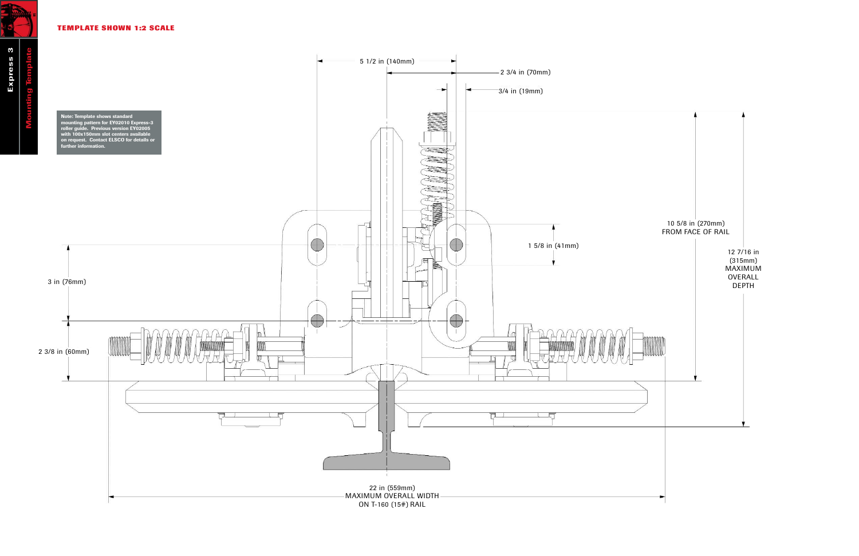# **TEMPLATE SHOWN 1:2 SCALE**

北